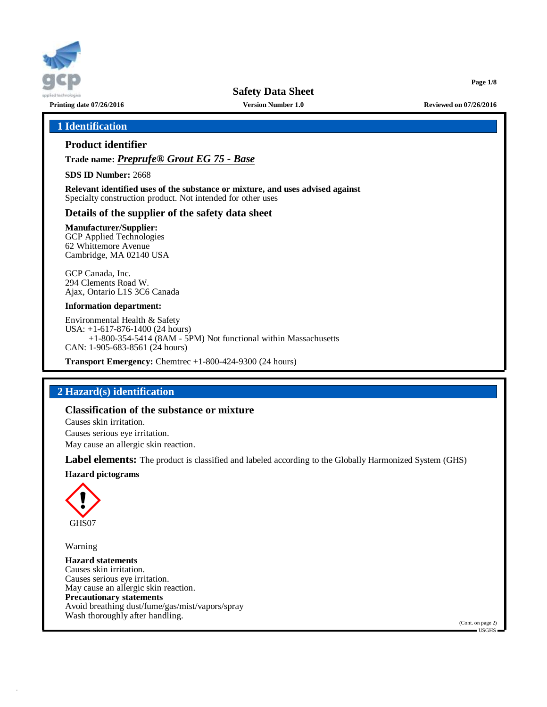

**Printing date 07/26/2016 Version Number 1.0 Reviewed on 07/26/2016**

**Page 1/8**

# **1 Identification**

# **Product identifier**

**Trade name:** *Preprufe® Grout EG 75 - Base*

**SDS ID Number:** 2668

**Relevant identified uses of the substance or mixture, and uses advised against** Specialty construction product. Not intended for other uses

# **Details of the supplier of the safety data sheet**

**Manufacturer/Supplier:** GCP Applied Technologies 62 Whittemore Avenue

Cambridge, MA 02140 USA

GCP Canada, Inc. 294 Clements Road W. Ajax, Ontario L1S 3C6 Canada

## **Information department:**

Environmental Health & Safety USA: +1-617-876-1400 (24 hours) +1-800-354-5414 (8AM - 5PM) Not functional within Massachusetts CAN: 1-905-683-8561 (24 hours)

**Transport Emergency:** Chemtrec +1-800-424-9300 (24 hours)

# **2 Hazard(s) identification**

# **Classification of the substance or mixture**

Causes skin irritation. Causes serious eye irritation. May cause an allergic skin reaction.

**Label elements:** The product is classified and labeled according to the Globally Harmonized System (GHS)

## **Hazard pictograms**



Warning

**Hazard statements** Causes skin irritation. Causes serious eye irritation. May cause an allergic skin reaction. **Precautionary statements** Avoid breathing dust/fume/gas/mist/vapors/spray Wash thoroughly after handling.

(Cont. on page 2) USGHS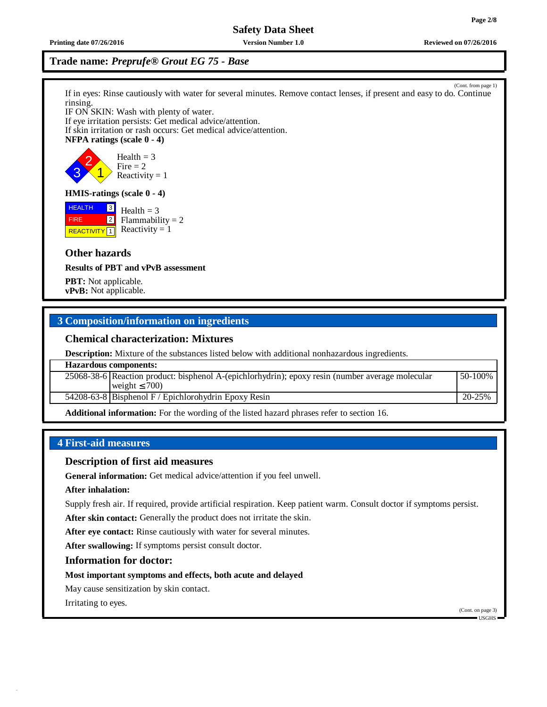**Printing date 07/26/2016 Version Number 1.0 Reviewed on 07/26/2016**

# **Trade name:** *Preprufe® Grout EG 75 - Base*

(Cont. from page 1) If in eyes: Rinse cautiously with water for several minutes. Remove contact lenses, if present and easy to do. Continue rinsing.

IF ON SKIN: Wash with plenty of water. If eye irritation persists: Get medical advice/attention. If skin irritation or rash occurs: Get medical advice/attention. **NFPA ratings (scale 0 - 4)**



Reactivity  $= 1$ 

## **HMIS-ratings (scale 0 - 4)**

 HEALTH FIRE **REACTIVITY** 1  $\sqrt{3}$ 2 Health  $= 3$  $Flammability = 2$ Reactivity  $= 1$ 

# **Other hazards**

## **Results of PBT and vPvB assessment**

**PBT:** Not applicable. **vPvB:** Not applicable.

# **3 Composition/information on ingredients**

## **Chemical characterization: Mixtures**

**Description:** Mixture of the substances listed below with additional nonhazardous ingredients.

| <b>Hazardous components:</b>                                                                                          |         |
|-----------------------------------------------------------------------------------------------------------------------|---------|
| 25068-38-6 Reaction product: bisphenol A-(epichlorhydrin); epoxy resin (number average molecular<br>weight $\leq 700$ | 50-100% |
| 54208-63-8 Bisphenol F / Epichlorohydrin Epoxy Resin                                                                  | 20-25%  |
|                                                                                                                       |         |

**Additional information:** For the wording of the listed hazard phrases refer to section 16.

# **4 First-aid measures**

## **Description of first aid measures**

**General information:** Get medical advice/attention if you feel unwell.

**After inhalation:**

Supply fresh air. If required, provide artificial respiration. Keep patient warm. Consult doctor if symptoms persist.

**After skin contact:** Generally the product does not irritate the skin.

**After eye contact:** Rinse cautiously with water for several minutes.

**After swallowing:** If symptoms persist consult doctor.

## **Information for doctor:**

**Most important symptoms and effects, both acute and delayed**

May cause sensitization by skin contact.

Irritating to eyes.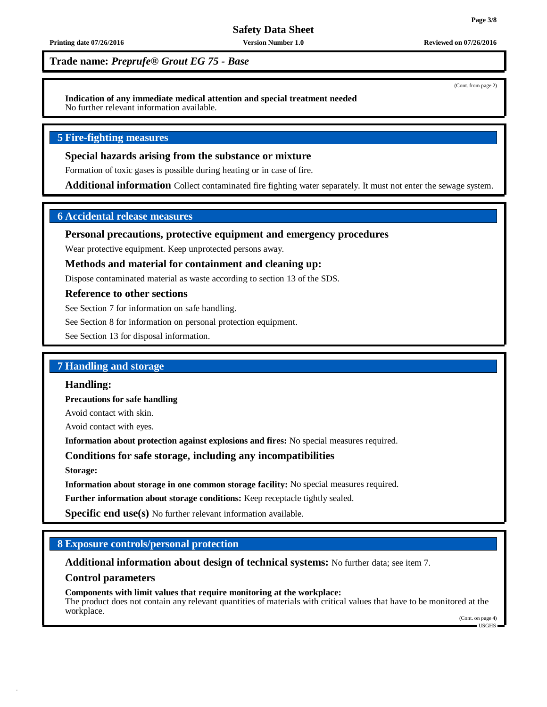(Cont. from page 2)

## **Safety Data Sheet**

**Printing date 07/26/2016 Version Number 1.0 Reviewed on 07/26/2016**

**Trade name:** *Preprufe® Grout EG 75 - Base*

**Indication of any immediate medical attention and special treatment needed** No further relevant information available.

# **5 Fire-fighting measures**

## **Special hazards arising from the substance or mixture**

Formation of toxic gases is possible during heating or in case of fire.

**Additional information** Collect contaminated fire fighting water separately. It must not enter the sewage system.

# **6 Accidental release measures**

# **Personal precautions, protective equipment and emergency procedures**

Wear protective equipment. Keep unprotected persons away.

## **Methods and material for containment and cleaning up:**

Dispose contaminated material as waste according to section 13 of the SDS.

## **Reference to other sections**

See Section 7 for information on safe handling.

See Section 8 for information on personal protection equipment.

See Section 13 for disposal information.

## **7 Handling and storage**

## **Handling:**

**Precautions for safe handling**

Avoid contact with skin.

Avoid contact with eyes.

**Information about protection against explosions and fires:** No special measures required.

## **Conditions for safe storage, including any incompatibilities**

**Storage:**

**Information about storage in one common storage facility:** No special measures required.

**Further information about storage conditions:** Keep receptacle tightly sealed.

**Specific end use(s)** No further relevant information available.

## **8 Exposure controls/personal protection**

**Additional information about design of technical systems:** No further data; see item 7.

### **Control parameters**

### **Components with limit values that require monitoring at the workplace:**

The product does not contain any relevant quantities of materials with critical values that have to be monitored at the workplace.

(Cont. on page 4) USGHS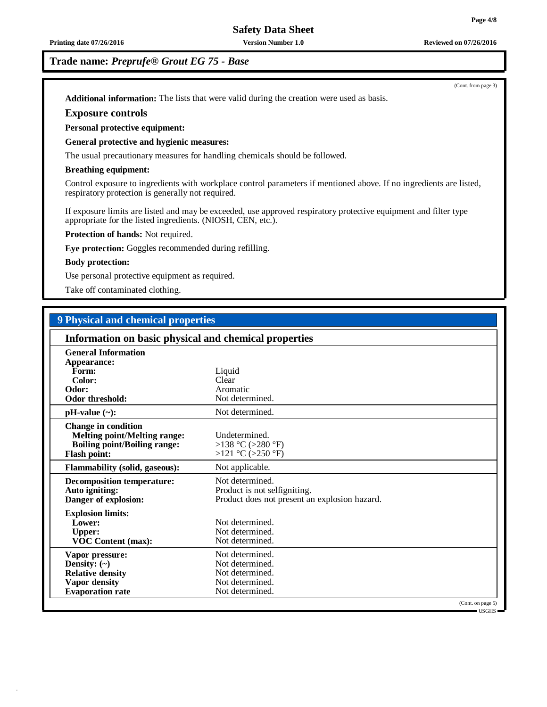**Printing date 07/26/2016 Version Number 1.0 Reviewed on 07/26/2016**

## **Trade name:** *Preprufe® Grout EG 75 - Base*

**Additional information:** The lists that were valid during the creation were used as basis.

## **Exposure controls**

## **Personal protective equipment:**

## **General protective and hygienic measures:**

The usual precautionary measures for handling chemicals should be followed.

## **Breathing equipment:**

Control exposure to ingredients with workplace control parameters if mentioned above. If no ingredients are listed, respiratory protection is generally not required.

If exposure limits are listed and may be exceeded, use approved respiratory protective equipment and filter type appropriate for the listed ingredients. (NIOSH, CEN, etc.).

**Protection of hands:** Not required.

**Eye protection:** Goggles recommended during refilling.

## **Body protection:**

Use personal protective equipment as required.

Take off contaminated clothing.

| <b>9 Physical and chemical properties</b>                                                                                       |                                                         |                                     |  |
|---------------------------------------------------------------------------------------------------------------------------------|---------------------------------------------------------|-------------------------------------|--|
| Information on basic physical and chemical properties                                                                           |                                                         |                                     |  |
| <b>General Information</b>                                                                                                      |                                                         |                                     |  |
| Appearance:                                                                                                                     |                                                         |                                     |  |
| Form:                                                                                                                           | Liquid                                                  |                                     |  |
| Color:                                                                                                                          | Clear                                                   |                                     |  |
| Odor:                                                                                                                           | Aromatic                                                |                                     |  |
| <b>Odor threshold:</b>                                                                                                          | Not determined.                                         |                                     |  |
| $pH-value (\sim):$                                                                                                              | Not determined.                                         |                                     |  |
| <b>Change in condition</b><br><b>Melting point/Melting range:</b><br><b>Boiling point/Boiling range:</b><br><b>Flash point:</b> | Undetermined.<br>>138 °C (>280 °F)<br>>121 °C (>250 °F) |                                     |  |
| <b>Flammability (solid, gaseous):</b>                                                                                           | Not applicable.                                         |                                     |  |
| <b>Decomposition temperature:</b>                                                                                               | Not determined.                                         |                                     |  |
| Auto igniting:                                                                                                                  | Product is not selfigniting.                            |                                     |  |
| Danger of explosion:                                                                                                            | Product does not present an explosion hazard.           |                                     |  |
| <b>Explosion limits:</b>                                                                                                        |                                                         |                                     |  |
| Lower:                                                                                                                          | Not determined.                                         |                                     |  |
| <b>Upper:</b>                                                                                                                   | Not determined.                                         |                                     |  |
| <b>VOC Content (max):</b>                                                                                                       | Not determined.                                         |                                     |  |
| Vapor pressure:                                                                                                                 | Not determined.                                         |                                     |  |
| Density: $(\sim)$                                                                                                               | Not determined.                                         |                                     |  |
| <b>Relative density</b>                                                                                                         | Not determined.                                         |                                     |  |
| <b>Vapor density</b>                                                                                                            | Not determined.                                         |                                     |  |
| <b>Evaporation</b> rate                                                                                                         | Not determined.                                         |                                     |  |
|                                                                                                                                 | (Cont. on page 5)                                       |                                     |  |
|                                                                                                                                 |                                                         | $\blacksquare$ USGHS $\blacksquare$ |  |

(Cont. from page 3)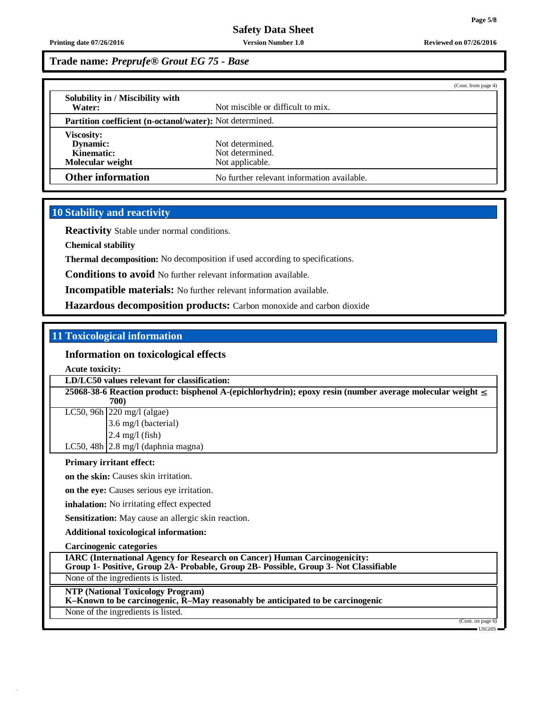**Printing date 07/26/2016 Version Number 1.0 Reviewed on 07/26/2016**

**Trade name:** *Preprufe® Grout EG 75 - Base*

|                                                          |                                            | (Cont. from page 4) |
|----------------------------------------------------------|--------------------------------------------|---------------------|
| Solubility in / Miscibility with                         |                                            |                     |
| Water:                                                   | Not miscible or difficult to mix.          |                     |
| Partition coefficient (n-octanol/water): Not determined. |                                            |                     |
| <b>Viscosity:</b>                                        |                                            |                     |
| Dynamic:                                                 | Not determined.                            |                     |
| Kinematic:                                               | Not determined.                            |                     |
| Molecular weight                                         | Not applicable.                            |                     |
| <b>Other information</b>                                 | No further relevant information available. |                     |

## **10 Stability and reactivity**

**Reactivity** Stable under normal conditions.

**Chemical stability**

**Thermal decomposition:** No decomposition if used according to specifications.

**Conditions to avoid** No further relevant information available.

**Incompatible materials:** No further relevant information available.

**Hazardous decomposition products:** Carbon monoxide and carbon dioxide

# **11 Toxicological information**

## **Information on toxicological effects**

**Acute toxicity:**

**LD/LC50 values relevant for classification:**

**25068-38-6 Reaction product: bisphenol A-(epichlorhydrin); epoxy resin (number average molecular weight £ 700)**

LC50, 96h 220 mg/l (algae) 3.6 mg/l (bacterial) 2.4 mg/l (fish)

LC50, 48h  $\vert$  2.8 mg/l (daphnia magna)

## **Primary irritant effect:**

**on the skin:** Causes skin irritation.

**on the eye:** Causes serious eye irritation.

**inhalation:** No irritating effect expected

**Sensitization:** May cause an allergic skin reaction.

**Additional toxicological information:**

**Carcinogenic categories**

| <b>IARC</b> (International Agency for Research on Cancer) Human Carcinogenicity:                                           |  |
|----------------------------------------------------------------------------------------------------------------------------|--|
| Group 1- Positive, Group 2A- Probable, Group 2B- Possible, Group 3- Not Classifiable                                       |  |
| None of the ingredients is listed.                                                                                         |  |
| <b>NTP (National Toxicology Program)</b><br>K-Known to be carcinogenic, R-May reasonably be anticipated to be carcinogenic |  |
| None of the ingredients is listed.                                                                                         |  |
| (Cont. on page 6)                                                                                                          |  |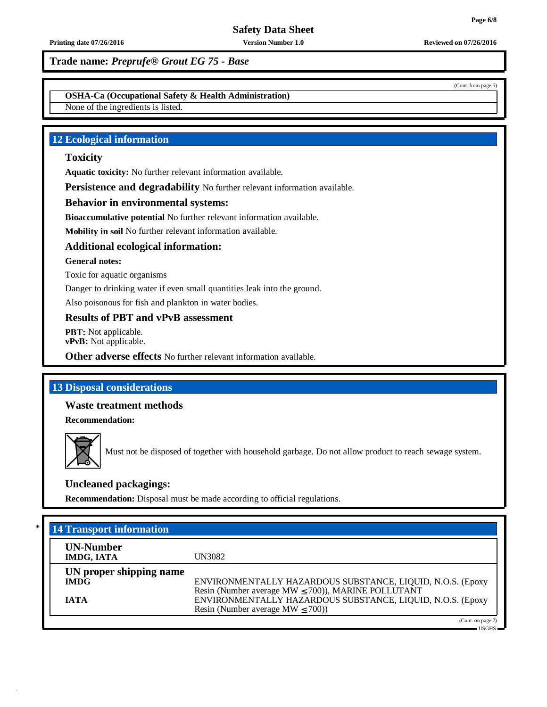## **Trade name:** *Preprufe® Grout EG 75 - Base*

**OSHA-Ca (Occupational Safety & Health Administration)**

None of the ingredients is listed.

# **12 Ecological information**

## **Toxicity**

**Aquatic toxicity:** No further relevant information available.

**Persistence and degradability** No further relevant information available.

## **Behavior in environmental systems:**

**Bioaccumulative potential** No further relevant information available.

**Mobility in soil** No further relevant information available.

## **Additional ecological information:**

## **General notes:**

Toxic for aquatic organisms

Danger to drinking water if even small quantities leak into the ground.

Also poisonous for fish and plankton in water bodies.

## **Results of PBT and vPvB assessment**

**PBT:** Not applicable. **vPvB:** Not applicable.

**Other adverse effects** No further relevant information available.

# **13 Disposal considerations**

## **Waste treatment methods**

**Recommendation:**



Must not be disposed of together with household garbage. Do not allow product to reach sewage system.

## **Uncleaned packagings:**

**Recommendation:** Disposal must be made according to official regulations.

| <b>14 Transport information</b>       |                                                                                                     |
|---------------------------------------|-----------------------------------------------------------------------------------------------------|
| <b>UN-Number</b><br><b>IMDG, IATA</b> | UN3082                                                                                              |
| UN proper shipping name               |                                                                                                     |
| <b>IMDG</b>                           | ENVIRONMENTALLY HAZARDOUS SUBSTANCE, LIQUID, N.O.S. (Epoxy                                          |
|                                       | Resin (Number average MW $\leq$ 700)), MARINE POLLUTANT                                             |
| <b>IATA</b>                           | ENVIRONMENTALLY HAZARDOUS SUBSTANCE, LIQUID, N.O.S. (Epoxy<br>Resin (Number average MW $\leq$ 700)) |
|                                       | (Cont. on page 7)                                                                                   |

(Cont. from page 5)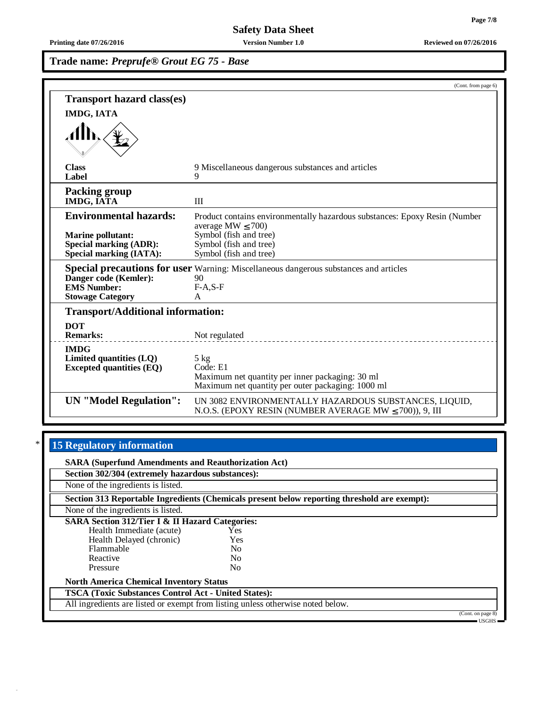**Printing date 07/26/2016 Version Number 1.0 Reviewed on 07/26/2016**

**Trade name:** *Preprufe® Grout EG 75 - Base*

|                                                                             | (Cont. from page 6)                                                                                                        |
|-----------------------------------------------------------------------------|----------------------------------------------------------------------------------------------------------------------------|
| <b>Transport hazard class(es)</b>                                           |                                                                                                                            |
| <b>IMDG, IATA</b>                                                           |                                                                                                                            |
|                                                                             |                                                                                                                            |
| <b>Class</b><br>Label                                                       | 9 Miscellaneous dangerous substances and articles<br>9                                                                     |
| <b>Packing group</b><br><b>IMDG, IATA</b>                                   | Ш                                                                                                                          |
| <b>Environmental hazards:</b>                                               | Product contains environmentally hazardous substances: Epoxy Resin (Number<br>average MW $\leq$ 700)                       |
| <b>Marine pollutant:</b>                                                    | Symbol (fish and tree)                                                                                                     |
| <b>Special marking (ADR):</b><br><b>Special marking (IATA):</b>             | Symbol (fish and tree)<br>Symbol (fish and tree)                                                                           |
|                                                                             | Special precautions for user Warning: Miscellaneous dangerous substances and articles                                      |
| Danger code (Kemler):                                                       | 90                                                                                                                         |
| <b>EMS Number:</b>                                                          | $F-A, S-F$                                                                                                                 |
| <b>Stowage Category</b>                                                     | A                                                                                                                          |
| <b>Transport/Additional information:</b>                                    |                                                                                                                            |
| <b>DOT</b><br><b>Remarks:</b>                                               | Not regulated                                                                                                              |
| <b>IMDG</b><br>Limited quantities $(LQ)$<br><b>Excepted quantities (EQ)</b> | $5$ kg<br>Code: E1<br>Maximum net quantity per inner packaging: 30 ml<br>Maximum net quantity per outer packaging: 1000 ml |
| <b>UN</b> "Model Regulation":                                               | UN 3082 ENVIRONMENTALLY HAZARDOUS SUBSTANCES, LIQUID,<br>N.O.S. (EPOXY RESIN (NUMBER AVERAGE MW $\leq$ 700)), 9, III       |

# \* **15 Regulatory information**

| <b>SARA (Superfund Amendments and Reauthorization Act)</b>                      |                |                                                                                              |
|---------------------------------------------------------------------------------|----------------|----------------------------------------------------------------------------------------------|
| Section 302/304 (extremely hazardous substances):                               |                |                                                                                              |
| None of the ingredients is listed.                                              |                |                                                                                              |
|                                                                                 |                | Section 313 Reportable Ingredients (Chemicals present below reporting threshold are exempt): |
| None of the ingredients is listed.                                              |                |                                                                                              |
| <b>SARA Section 312/Tier I &amp; II Hazard Categories:</b>                      |                |                                                                                              |
| Health Immediate (acute)                                                        | Yes            |                                                                                              |
| Health Delayed (chronic)                                                        | <b>Yes</b>     |                                                                                              |
| Flammable                                                                       | N <sub>0</sub> |                                                                                              |
| Reactive                                                                        | No             |                                                                                              |
| Pressure                                                                        | N <sub>0</sub> |                                                                                              |
| <b>North America Chemical Inventory Status</b>                                  |                |                                                                                              |
| <b>TSCA (Toxic Substances Control Act - United States):</b>                     |                |                                                                                              |
| All ingredients are listed or exempt from listing unless otherwise noted below. |                |                                                                                              |
|                                                                                 |                | (Cont. on page 8)                                                                            |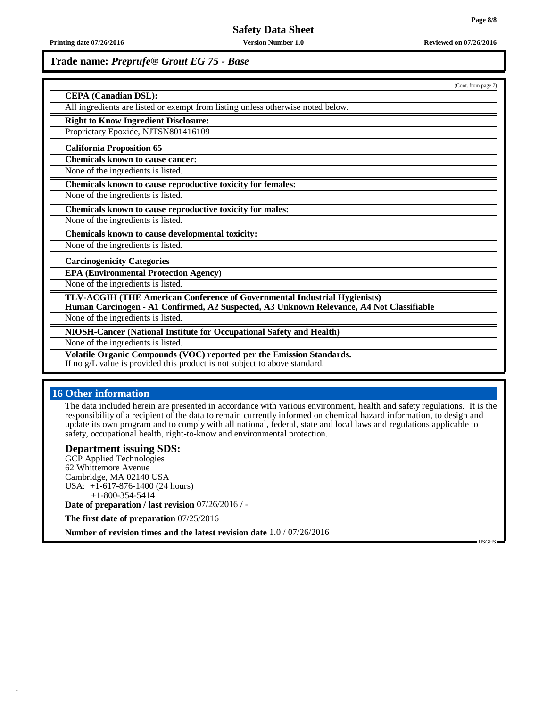**USGHS** 

# **Safety Data Sheet**

**Printing date 07/26/2016 Version Number 1.0 Reviewed on 07/26/2016**

# **Trade name:** *Preprufe® Grout EG 75 - Base*

| (Cont. from page 7)                                                                                                                                                          |
|------------------------------------------------------------------------------------------------------------------------------------------------------------------------------|
| <b>CEPA</b> (Canadian DSL):                                                                                                                                                  |
| All ingredients are listed or exempt from listing unless otherwise noted below.                                                                                              |
| <b>Right to Know Ingredient Disclosure:</b>                                                                                                                                  |
| Proprietary Epoxide, NJTSN801416109                                                                                                                                          |
| <b>California Proposition 65</b>                                                                                                                                             |
| <b>Chemicals known to cause cancer:</b>                                                                                                                                      |
| None of the ingredients is listed.                                                                                                                                           |
| Chemicals known to cause reproductive toxicity for females:                                                                                                                  |
| None of the ingredients is listed.                                                                                                                                           |
| Chemicals known to cause reproductive toxicity for males:                                                                                                                    |
| None of the ingredients is listed.                                                                                                                                           |
| Chemicals known to cause developmental toxicity:                                                                                                                             |
| None of the ingredients is listed.                                                                                                                                           |
| <b>Carcinogenicity Categories</b>                                                                                                                                            |
| <b>EPA (Environmental Protection Agency)</b>                                                                                                                                 |
| None of the ingredients is listed.                                                                                                                                           |
| <b>TLV-ACGIH (THE American Conference of Governmental Industrial Hygienists)</b><br>Human Carcinogen - A1 Confirmed, A2 Suspected, A3 Unknown Relevance, A4 Not Classifiable |
| None of the ingredients is listed.                                                                                                                                           |
| NIOSH-Cancer (National Institute for Occupational Safety and Health)                                                                                                         |
| None of the ingredients is listed.                                                                                                                                           |
| Volatile Organic Compounds (VOC) reported per the Emission Standards.<br>If no $g/L$ value is provided this product is not subject to above standard.                        |

# **16 Other information**

The data included herein are presented in accordance with various environment, health and safety regulations. It is the responsibility of a recipient of the data to remain currently informed on chemical hazard information, to design and update its own program and to comply with all national, federal, state and local laws and regulations applicable to safety, occupational health, right-to-know and environmental protection.

# **Department issuing SDS:**

GCP Applied Technologies 62 Whittemore Avenue Cambridge, MA 02140 USA USA: +1-617-876-1400 (24 hours) +1-800-354-5414 **Date of preparation / last revision** 07/26/2016 / -

**The first date of preparation** 07/25/2016

**Number of revision times and the latest revision date** 1.0 / 07/26/2016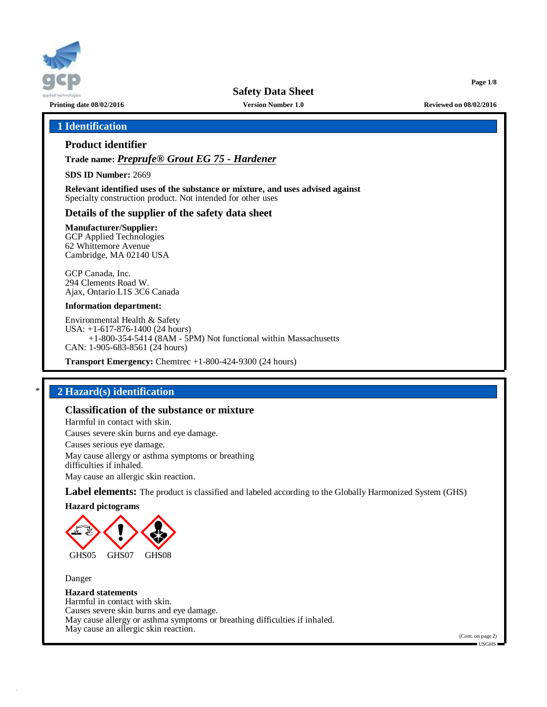

**Printing date 08/02/2016 Version Number 1.0 Reviewed on 08/02/2016**

# **1 Identification**

# **Product identifier**

**Trade name:** *Preprufe® Grout EG 75 - Hardener*

**SDS ID Number:** 2669

**Relevant identified uses of the substance or mixture, and uses advised against** Specialty construction product. Not intended for other uses

# **Details of the supplier of the safety data sheet**

**Manufacturer/Supplier:** GCP Applied Technologies

62 Whittemore Avenue Cambridge, MA 02140 USA

GCP Canada, Inc. 294 Clements Road W. Ajax, Ontario L1S 3C6 Canada

## **Information department:**

Environmental Health & Safety USA: +1-617-876-1400 (24 hours) +1-800-354-5414 (8AM - 5PM) Not functional within Massachusetts CAN: 1-905-683-8561 (24 hours)

**Transport Emergency:** Chemtrec +1-800-424-9300 (24 hours)

# \* **2 Hazard(s) identification**

# **Classification of the substance or mixture**

Harmful in contact with skin. Causes severe skin burns and eye damage. Causes serious eye damage. May cause allergy or asthma symptoms or breathing difficulties if inhaled.

May cause an allergic skin reaction.

**Label elements:** The product is classified and labeled according to the Globally Harmonized System (GHS)

**Hazard pictograms**



Danger

## **Hazard statements**

Harmful in contact with skin. Causes severe skin burns and eye damage. May cause allergy or asthma symptoms or breathing difficulties if inhaled. May cause an allergic skin reaction.

(Cont. on page 2) USGHS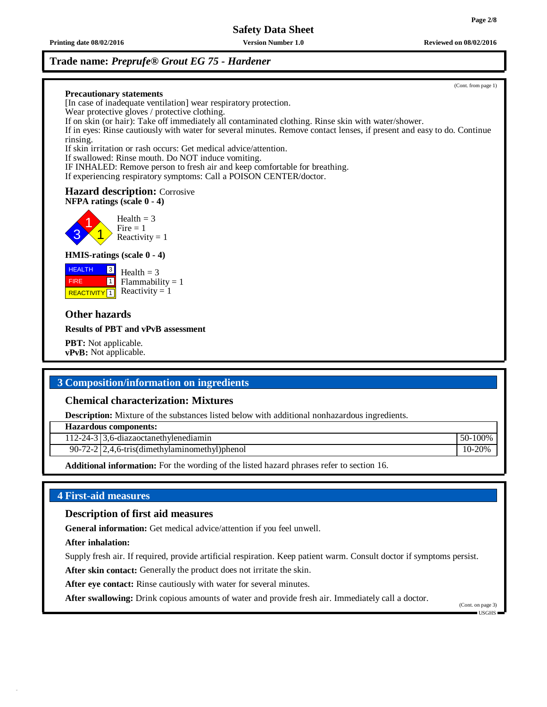**Printing date 08/02/2016 Version Number 1.0 Reviewed on 08/02/2016**

# **Trade name:** *Preprufe® Grout EG 75 - Hardener*

### **Precautionary statements**

[In case of inadequate ventilation] wear respiratory protection. Wear protective gloves / protective clothing. If on skin (or hair): Take off immediately all contaminated clothing. Rinse skin with water/shower. If in eyes: Rinse cautiously with water for several minutes. Remove contact lenses, if present and easy to do. Continue rinsing. If skin irritation or rash occurs: Get medical advice/attention.

If swallowed: Rinse mouth. Do NOT induce vomiting.

IF INHALED: Remove person to fresh air and keep comfortable for breathing.

If experiencing respiratory symptoms: Call a POISON CENTER/doctor.

## **Hazard description:** Corrosive **NFPA ratings (scale 0 - 4)**

3 1 1 Health  $= 3$  $Fire = 1$ Reactivity  $= 1$ 

## **HMIS-ratings (scale 0 - 4)**

**HEALTH**  FIRE **REACTIVITY** 1  $|3|$ 1 Health  $= 3$  $Flammability = 1$ Reactivity  $= 1$ 

# **Other hazards**

**Results of PBT and vPvB assessment**

**PBT:** Not applicable. **vPvB:** Not applicable.

# **3 Composition/information on ingredients**

## **Chemical characterization: Mixtures**

**Description:** Mixture of the substances listed below with additional nonhazardous ingredients.

**Hazardous components:**

112-24-3 3,6-diazaoctanethylenediamin 50-100%

90-72-2 2,4,6-tris(dimethylaminomethyl)phenol 10-20%

**Additional information:** For the wording of the listed hazard phrases refer to section 16.

# **4 First-aid measures**

## **Description of first aid measures**

**General information:** Get medical advice/attention if you feel unwell.

**After inhalation:**

Supply fresh air. If required, provide artificial respiration. Keep patient warm. Consult doctor if symptoms persist.

**After skin contact:** Generally the product does not irritate the skin.

**After eye contact:** Rinse cautiously with water for several minutes.

**After swallowing:** Drink copious amounts of water and provide fresh air. Immediately call a doctor.

(Cont. on page 3) USGHS

(Cont. from page 1)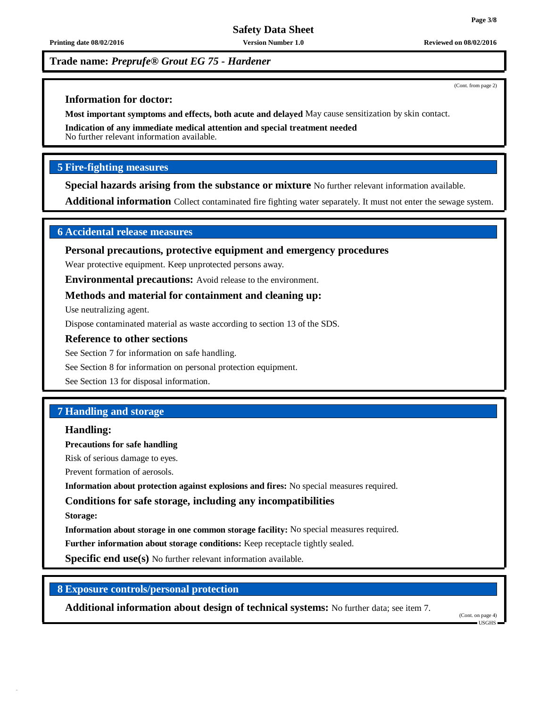**Trade name:** *Preprufe® Grout EG 75 - Hardener*

## **Information for doctor:**

**Most important symptoms and effects, both acute and delayed** May cause sensitization by skin contact.

**Indication of any immediate medical attention and special treatment needed** No further relevant information available.

# **5 Fire-fighting measures**

**Special hazards arising from the substance or mixture** No further relevant information available.

**Additional information** Collect contaminated fire fighting water separately. It must not enter the sewage system.

## **6 Accidental release measures**

# **Personal precautions, protective equipment and emergency procedures**

Wear protective equipment. Keep unprotected persons away.

**Environmental precautions:** Avoid release to the environment.

# **Methods and material for containment and cleaning up:**

Use neutralizing agent.

Dispose contaminated material as waste according to section 13 of the SDS.

## **Reference to other sections**

See Section 7 for information on safe handling.

See Section 8 for information on personal protection equipment.

See Section 13 for disposal information.

# **7 Handling and storage**

## **Handling:**

**Precautions for safe handling**

Risk of serious damage to eyes.

Prevent formation of aerosols.

**Information about protection against explosions and fires:** No special measures required.

## **Conditions for safe storage, including any incompatibilities**

**Storage:**

**Information about storage in one common storage facility:** No special measures required.

**Further information about storage conditions:** Keep receptacle tightly sealed.

**Specific end use(s)** No further relevant information available.

# **8 Exposure controls/personal protection**

**Additional information about design of technical systems:** No further data; see item 7.

**Printing date 08/02/2016 Version Number 1.0 Reviewed on 08/02/2016**

(Cont. from page 2)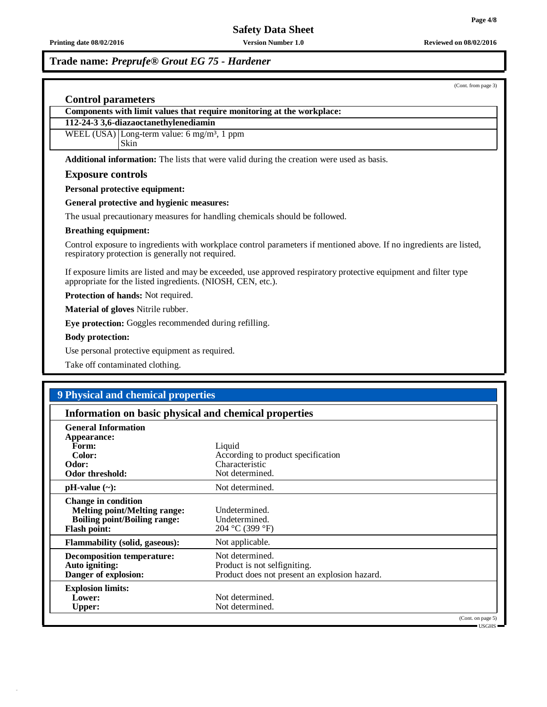**Explosion limits:**<br> **Lower:**<br> **Upper:** 

# **Trade name:** *Preprufe® Grout EG 75 - Hardener*

|                                                                                                                                 | (Cont. from page 3)                                                                                                 |
|---------------------------------------------------------------------------------------------------------------------------------|---------------------------------------------------------------------------------------------------------------------|
| <b>Control parameters</b>                                                                                                       |                                                                                                                     |
| Components with limit values that require monitoring at the workplace:                                                          |                                                                                                                     |
| 112-24-3 3,6-diazaoctanethylenediamin<br>WEEL (USA) Long-term value: $6 \text{ mg/m}^3$ , 1 ppm                                 |                                                                                                                     |
| Skin                                                                                                                            |                                                                                                                     |
|                                                                                                                                 | <b>Additional information:</b> The lists that were valid during the creation were used as basis.                    |
| <b>Exposure controls</b>                                                                                                        |                                                                                                                     |
| Personal protective equipment:                                                                                                  |                                                                                                                     |
| General protective and hygienic measures:                                                                                       |                                                                                                                     |
|                                                                                                                                 | The usual precautionary measures for handling chemicals should be followed.                                         |
| <b>Breathing equipment:</b>                                                                                                     |                                                                                                                     |
| respiratory protection is generally not required.                                                                               | Control exposure to ingredients with workplace control parameters if mentioned above. If no ingredients are listed, |
| appropriate for the listed ingredients. (NIOSH, CEN, etc.).                                                                     | If exposure limits are listed and may be exceeded, use approved respiratory protective equipment and filter type    |
| Protection of hands: Not required.                                                                                              |                                                                                                                     |
| Material of gloves Nitrile rubber.                                                                                              |                                                                                                                     |
| Eye protection: Goggles recommended during refilling.                                                                           |                                                                                                                     |
| <b>Body protection:</b>                                                                                                         |                                                                                                                     |
| Use personal protective equipment as required.                                                                                  |                                                                                                                     |
| Take off contaminated clothing.                                                                                                 |                                                                                                                     |
|                                                                                                                                 |                                                                                                                     |
| <b>9 Physical and chemical properties</b>                                                                                       |                                                                                                                     |
| Information on basic physical and chemical properties                                                                           |                                                                                                                     |
| <b>General Information</b><br>Appearance:<br>Form:<br>Color:<br>Odor:<br>Odor threshold:                                        | Liquid<br>According to product specification<br>Characteristic<br>Not determined.                                   |
| $pH-value$ (~):                                                                                                                 | Not determined.                                                                                                     |
| <b>Change in condition</b><br><b>Melting point/Melting range:</b><br><b>Boiling point/Boiling range:</b><br><b>Flash point:</b> | Undetermined.<br>Undetermined.<br>204 °C (399 °F)                                                                   |
| <b>Flammability (solid, gaseous):</b>                                                                                           | Not applicable.                                                                                                     |
| <b>Decomposition temperature:</b><br>Auto igniting:<br>Danger of explosion:                                                     | Not determined.<br>Product is not selfigniting.<br>Product does not present an explosion hazard.                    |

Lower: Not determined. Upper: Not determined. (Cont. on page 5)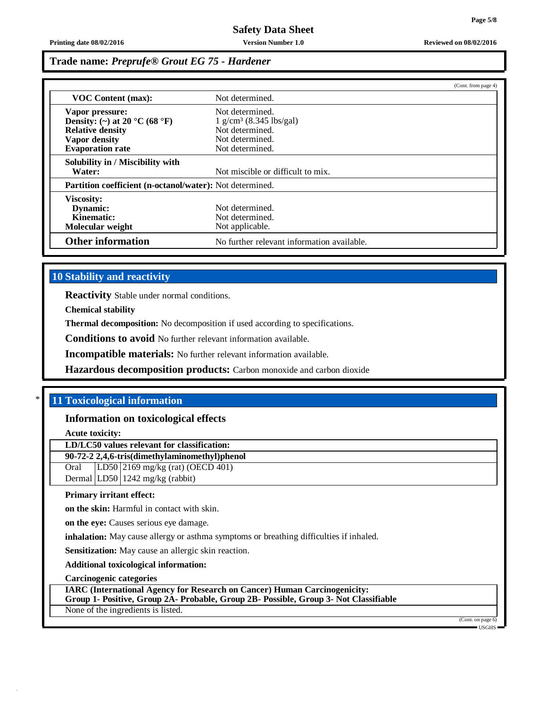**Trade name:** *Preprufe® Grout EG 75 - Hardener*

|                                                          |                                            | (Cont. from page 4) |
|----------------------------------------------------------|--------------------------------------------|---------------------|
| <b>VOC Content (max):</b>                                | Not determined.                            |                     |
| Vapor pressure:                                          | Not determined.                            |                     |
| Density: (~) at 20 $^{\circ}$ C (68 $^{\circ}$ F)        | $1 \text{ g/cm}^3$ (8.345 lbs/gal)         |                     |
| <b>Relative density</b>                                  | Not determined.                            |                     |
| Vapor density                                            | Not determined.                            |                     |
| <b>Evaporation</b> rate                                  | Not determined.                            |                     |
| Solubility in / Miscibility with                         |                                            |                     |
| Water:                                                   | Not miscible or difficult to mix.          |                     |
| Partition coefficient (n-octanol/water): Not determined. |                                            |                     |
| <b>Viscosity:</b>                                        |                                            |                     |
| Dynamic:                                                 | Not determined.                            |                     |
| Kinematic:                                               | Not determined.                            |                     |
| Molecular weight                                         | Not applicable.                            |                     |
| <b>Other information</b>                                 | No further relevant information available. |                     |

# **10 Stability and reactivity**

**Reactivity** Stable under normal conditions.

**Chemical stability**

**Thermal decomposition:** No decomposition if used according to specifications.

**Conditions to avoid** No further relevant information available.

**Incompatible materials:** No further relevant information available.

**Hazardous decomposition products:** Carbon monoxide and carbon dioxide

# \* **11 Toxicological information**

## **Information on toxicological effects**

**Acute toxicity:**

**LD/LC50 values relevant for classification:**

**90-72-2 2,4,6-tris(dimethylaminomethyl)phenol**

Oral LD50 2169 mg/kg (rat) (OECD 401)

Dermal LD50 1242 mg/kg (rabbit)

## **Primary irritant effect:**

**on the skin:** Harmful in contact with skin.

**on the eye:** Causes serious eye damage.

**inhalation:** May cause allergy or asthma symptoms or breathing difficulties if inhaled.

**Sensitization:** May cause an allergic skin reaction.

**Additional toxicological information:**

**Carcinogenic categories**

**IARC (International Agency for Research on Cancer) Human Carcinogenicity: Group 1- Positive, Group 2A- Probable, Group 2B- Possible, Group 3- Not Classifiable**

None of the ingredients is listed.

(Cont. on page 6) USGHS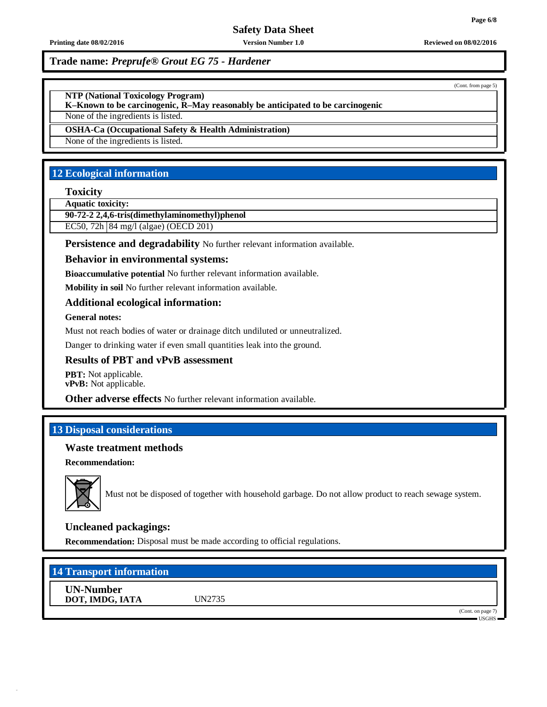(Cont. from page 5)

# **Safety Data Sheet**

**Trade name:** *Preprufe® Grout EG 75 - Hardener*

**NTP (National Toxicology Program)**

**K–Known to be carcinogenic, R–May reasonably be anticipated to be carcinogenic**

None of the ingredients is listed.

**OSHA-Ca (Occupational Safety & Health Administration)**

None of the ingredients is listed.

# **12 Ecological information**

## **Toxicity**

**Aquatic toxicity:**

**90-72-2 2,4,6-tris(dimethylaminomethyl)phenol**

EC50, 72h 84 mg/l (algae) (OECD 201)

**Persistence and degradability** No further relevant information available.

**Behavior in environmental systems:**

**Bioaccumulative potential** No further relevant information available.

**Mobility in soil** No further relevant information available.

## **Additional ecological information:**

**General notes:**

Must not reach bodies of water or drainage ditch undiluted or unneutralized.

Danger to drinking water if even small quantities leak into the ground.

# **Results of PBT and vPvB assessment**

**PBT:** Not applicable. **vPvB:** Not applicable.

**Other adverse effects** No further relevant information available.

# **13 Disposal considerations**

**Waste treatment methods**

**Recommendation:**



Must not be disposed of together with household garbage. Do not allow product to reach sewage system.

## **Uncleaned packagings:**

**Recommendation:** Disposal must be made according to official regulations.

| <b>14 Transport information</b>     |        |  |                   |
|-------------------------------------|--------|--|-------------------|
| <b>UN-Number</b><br>DOT, IMDG, IATA | UN2735 |  |                   |
|                                     |        |  | (Cont. on page 7) |

 $\blacksquare$  USGHS  $\blacksquare$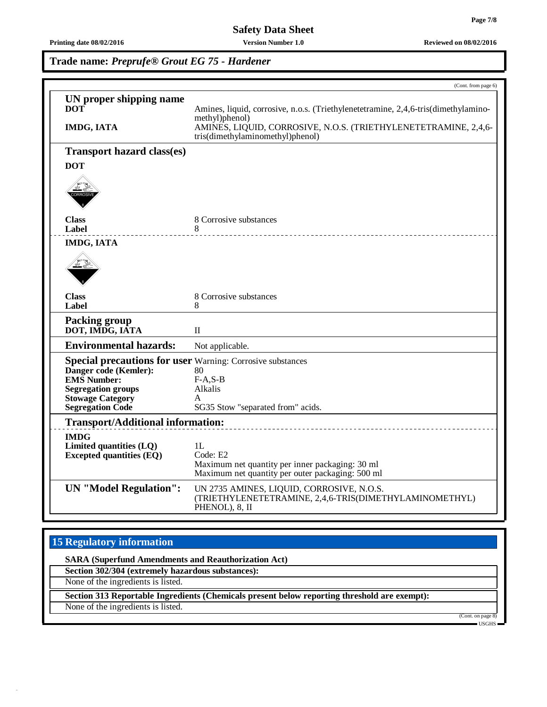# **Trade name:** *Preprufe® Grout EG 75 - Hardener*

|                                                                                                                                                                                                     | (Cont. from page 6)                                                                                                                                                                                         |
|-----------------------------------------------------------------------------------------------------------------------------------------------------------------------------------------------------|-------------------------------------------------------------------------------------------------------------------------------------------------------------------------------------------------------------|
| UN proper shipping name<br><b>DOT</b><br><b>IMDG, IATA</b>                                                                                                                                          | Amines, liquid, corrosive, n.o.s. (Triethylenetetramine, 2,4,6-tris(dimethylamino-<br>methyl)phenol)<br>AMINES, LIQUID, CORROSIVE, N.O.S. (TRIETHYLENETETRAMINE, 2,4,6-<br>tris(dimethylaminomethyl)phenol) |
| <b>Transport hazard class(es)</b>                                                                                                                                                                   |                                                                                                                                                                                                             |
| <b>DOT</b>                                                                                                                                                                                          |                                                                                                                                                                                                             |
| CORROSI                                                                                                                                                                                             |                                                                                                                                                                                                             |
| <b>Class</b><br>Label                                                                                                                                                                               | 8 Corrosive substances<br>8                                                                                                                                                                                 |
| <b>IMDG, IATA</b>                                                                                                                                                                                   |                                                                                                                                                                                                             |
| <b>Class</b><br>Label                                                                                                                                                                               | 8 Corrosive substances<br>8                                                                                                                                                                                 |
| <b>Packing group</b><br>DOT, IMDG, IATA                                                                                                                                                             | $\mathbf{I}$                                                                                                                                                                                                |
| <b>Environmental hazards:</b>                                                                                                                                                                       | Not applicable.                                                                                                                                                                                             |
| <b>Special precautions for user</b> Warning: Corrosive substances<br>Danger code (Kemler):<br><b>EMS</b> Number:<br><b>Segregation groups</b><br><b>Stowage Category</b><br><b>Segregation Code</b> | 80<br>$F-A, S-B$<br>Alkalis<br>A<br>SG35 Stow "separated from" acids.                                                                                                                                       |
| <b>Transport/Additional information:</b>                                                                                                                                                            |                                                                                                                                                                                                             |
| <b>IMDG</b><br>Limited quantities (LQ)<br><b>Excepted quantities (EQ)</b>                                                                                                                           | 1L<br>Code: E2<br>Maximum net quantity per inner packaging: 30 ml<br>Maximum net quantity per outer packaging: 500 ml                                                                                       |
| <b>UN</b> "Model Regulation":                                                                                                                                                                       | UN 2735 AMINES, LIQUID, CORROSIVE, N.O.S.<br>(TRIETHYLENETETRAMINE, 2,4,6-TRIS(DIMETHYLAMINOMETHYL)<br>PHENOL), 8, II                                                                                       |

# **15 Regulatory information**

**SARA (Superfund Amendments and Reauthorization Act)**

**Section 302/304 (extremely hazardous substances):**

None of the ingredients is listed.

**Section 313 Reportable Ingredients (Chemicals present below reporting threshold are exempt):**

None of the ingredients is listed.

(Cont. on page 8)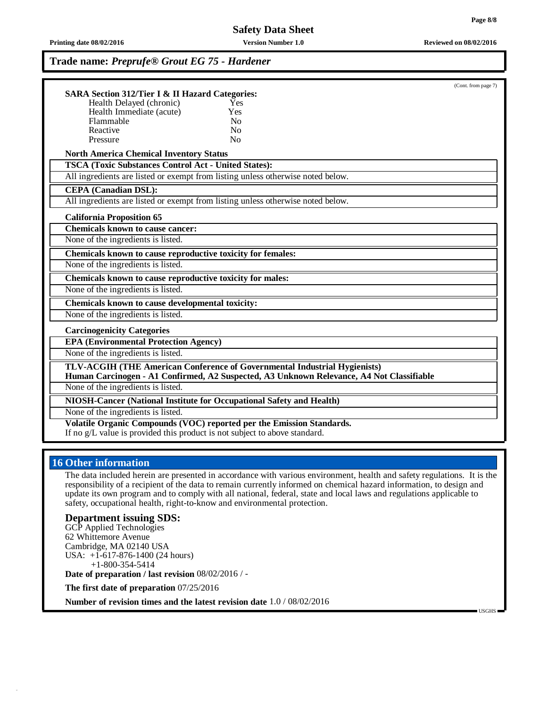# **Trade name:** *Preprufe® Grout EG 75 - Hardener*

|                                                                                                                                                                       | (Cont. from page 7) |  |
|-----------------------------------------------------------------------------------------------------------------------------------------------------------------------|---------------------|--|
| <b>SARA Section 312/Tier I &amp; II Hazard Categories:</b>                                                                                                            |                     |  |
| Health Delayed (chronic)<br><b>Yes</b>                                                                                                                                |                     |  |
| Health Immediate (acute)<br>Yes<br>Flammable<br>No                                                                                                                    |                     |  |
| Reactive<br>No                                                                                                                                                        |                     |  |
| No<br>Pressure                                                                                                                                                        |                     |  |
| <b>North America Chemical Inventory Status</b>                                                                                                                        |                     |  |
| <b>TSCA (Toxic Substances Control Act - United States):</b>                                                                                                           |                     |  |
| All ingredients are listed or exempt from listing unless otherwise noted below.                                                                                       |                     |  |
| <b>CEPA</b> (Canadian DSL):                                                                                                                                           |                     |  |
| All ingredients are listed or exempt from listing unless otherwise noted below.                                                                                       |                     |  |
| <b>California Proposition 65</b>                                                                                                                                      |                     |  |
| <b>Chemicals known to cause cancer:</b>                                                                                                                               |                     |  |
| None of the ingredients is listed.                                                                                                                                    |                     |  |
| Chemicals known to cause reproductive toxicity for females:                                                                                                           |                     |  |
| None of the ingredients is listed.                                                                                                                                    |                     |  |
| Chemicals known to cause reproductive toxicity for males:                                                                                                             |                     |  |
| None of the ingredients is listed.                                                                                                                                    |                     |  |
| Chemicals known to cause developmental toxicity:                                                                                                                      |                     |  |
| None of the ingredients is listed.                                                                                                                                    |                     |  |
| <b>Carcinogenicity Categories</b>                                                                                                                                     |                     |  |
| <b>EPA (Environmental Protection Agency)</b>                                                                                                                          |                     |  |
| None of the ingredients is listed.                                                                                                                                    |                     |  |
| TLV-ACGIH (THE American Conference of Governmental Industrial Hygienists)<br>Human Carcinogen - A1 Confirmed, A2 Suspected, A3 Unknown Relevance, A4 Not Classifiable |                     |  |
| None of the ingredients is listed.                                                                                                                                    |                     |  |
| NIOSH-Cancer (National Institute for Occupational Safety and Health)                                                                                                  |                     |  |
| None of the ingredients is listed.                                                                                                                                    |                     |  |
| Volatile Organic Compounds (VOC) reported per the Emission Standards.<br>If no g/L value is provided this product is not subject to above standard.                   |                     |  |

# **16 Other information**

The data included herein are presented in accordance with various environment, health and safety regulations. It is the responsibility of a recipient of the data to remain currently informed on chemical hazard information, to design and update its own program and to comply with all national, federal, state and local laws and regulations applicable to safety, occupational health, right-to-know and environmental protection.

## **Department issuing SDS:**

GCP Applied Technologies 62 Whittemore Avenue Cambridge, MA 02140 USA USA: +1-617-876-1400 (24 hours) +1-800-354-5414

**Date of preparation / last revision** 08/02/2016 / -

**The first date of preparation** 07/25/2016

**Number of revision times and the latest revision date** 1.0 / 08/02/2016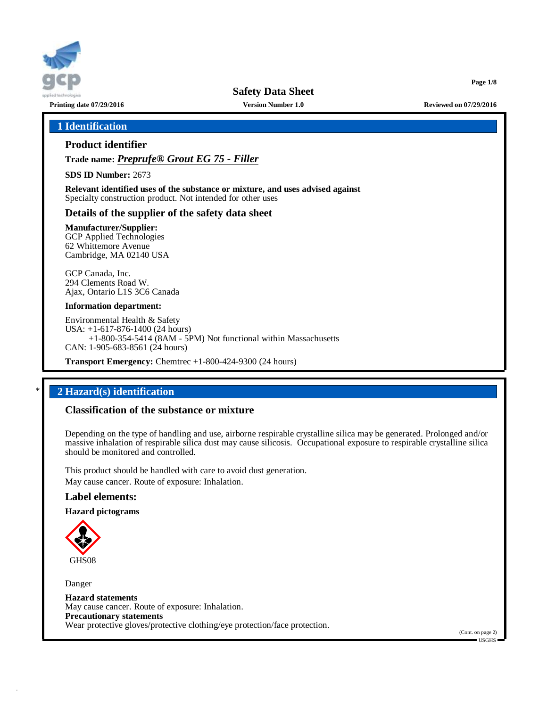

**Printing date 07/29/2016 Version Number 1.0 Reviewed on 07/29/2016**

# **1 Identification**

# **Product identifier**

**Trade name:** *Preprufe® Grout EG 75 - Filler*

**SDS ID Number:** 2673

**Relevant identified uses of the substance or mixture, and uses advised against** Specialty construction product. Not intended for other uses

# **Details of the supplier of the safety data sheet**

### **Manufacturer/Supplier:** GCP Applied Technologies

62 Whittemore Avenue Cambridge, MA 02140 USA

GCP Canada, Inc. 294 Clements Road W. Ajax, Ontario L1S 3C6 Canada

## **Information department:**

Environmental Health & Safety USA: +1-617-876-1400 (24 hours) +1-800-354-5414 (8AM - 5PM) Not functional within Massachusetts CAN: 1-905-683-8561 (24 hours)

**Transport Emergency:** Chemtrec +1-800-424-9300 (24 hours)

# \* **2 Hazard(s) identification**

# **Classification of the substance or mixture**

Depending on the type of handling and use, airborne respirable crystalline silica may be generated. Prolonged and/or massive inhalation of respirable silica dust may cause silicosis. Occupational exposure to respirable crystalline silica should be monitored and controlled.

This product should be handled with care to avoid dust generation. May cause cancer. Route of exposure: Inhalation.

## **Label elements:**

**Hazard pictograms**



Danger

**Hazard statements** May cause cancer. Route of exposure: Inhalation. **Precautionary statements** Wear protective gloves/protective clothing/eye protection/face protection.

(Cont. on page 2)  $\blacksquare$  USGHS  $\blacksquare$ 

**Page 1/8**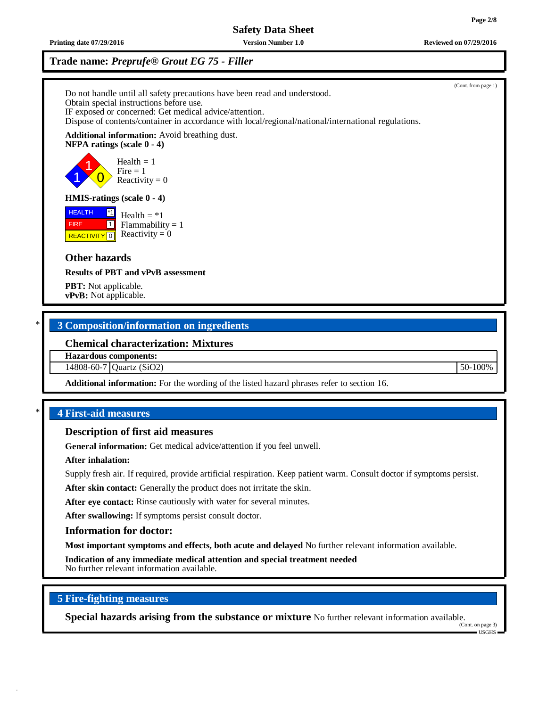**Printing date 07/29/2016 Version Number 1.0 Reviewed on 07/29/2016**

# **Trade name:** *Preprufe® Grout EG 75 - Filler*

| Do not handle until all safety precautions have been read and understood.<br>Obtain special instructions before use.<br>IF exposed or concerned: Get medical advice/attention.<br>Dispose of contents/container in accordance with local/regional/national/international regulations. | (Cont. from page 1) |
|---------------------------------------------------------------------------------------------------------------------------------------------------------------------------------------------------------------------------------------------------------------------------------------|---------------------|
| <b>Additional information:</b> Avoid breathing dust.<br><b>NFPA</b> ratings (scale $0 - 4$ )                                                                                                                                                                                          |                     |
| Health $= 1$<br>$Fire = 1$<br>Reactivity = $0$                                                                                                                                                                                                                                        |                     |
| <b>HMIS-ratings (scale <math>0 - 4</math>)</b>                                                                                                                                                                                                                                        |                     |
| $^*1$<br><b>HEALTH</b><br>Health $=$ *1<br>$\vert$ 1<br>Flammability $= 1$<br><b>FIRE</b><br>Reactivity = $0$<br><b>REACTIVITY</b> 0                                                                                                                                                  |                     |
| <b>Other hazards</b>                                                                                                                                                                                                                                                                  |                     |
| <b>Results of PBT and vPvB assessment</b>                                                                                                                                                                                                                                             |                     |
| <b>PBT:</b> Not applicable.<br>vPvB: Not applicable.                                                                                                                                                                                                                                  |                     |

# \* **3 Composition/information on ingredients**

## **Chemical characterization: Mixtures**

**Hazardous components:**

14808-60-7 Quartz (SiO2) 50-100%

**Additional information:** For the wording of the listed hazard phrases refer to section 16.

# \* **4 First-aid measures**

## **Description of first aid measures**

**General information:** Get medical advice/attention if you feel unwell.

## **After inhalation:**

Supply fresh air. If required, provide artificial respiration. Keep patient warm. Consult doctor if symptoms persist.

**After skin contact:** Generally the product does not irritate the skin.

**After eye contact:** Rinse cautiously with water for several minutes.

**After swallowing:** If symptoms persist consult doctor.

## **Information for doctor:**

**Most important symptoms and effects, both acute and delayed** No further relevant information available.

**Indication of any immediate medical attention and special treatment needed** No further relevant information available.

# **5 Fire-fighting measures**

**Special hazards arising from the substance or mixture** No further relevant information available.

(Cont. on page 3) USGHS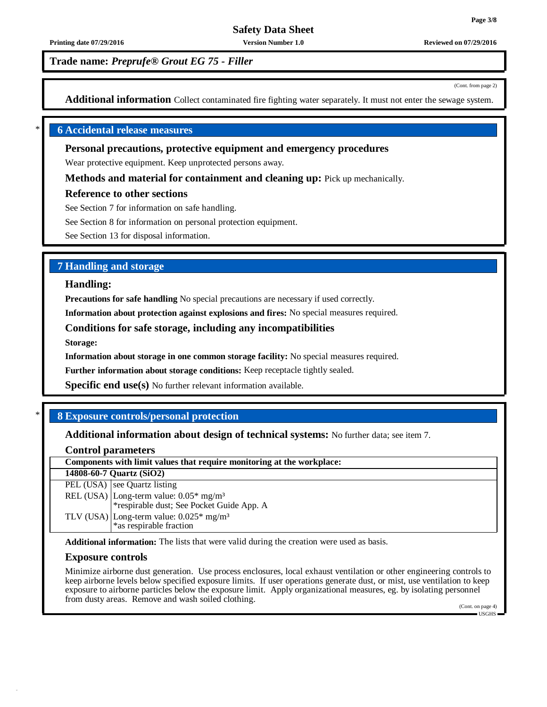**Printing date 07/29/2016 Version Number 1.0 Reviewed on 07/29/2016**

**Trade name:** *Preprufe® Grout EG 75 - Filler*

(Cont. from page 2)

**Additional information** Collect contaminated fire fighting water separately. It must not enter the sewage system.

# \* **6 Accidental release measures**

## **Personal precautions, protective equipment and emergency procedures**

Wear protective equipment. Keep unprotected persons away.

**Methods and material for containment and cleaning up:** Pick up mechanically.

## **Reference to other sections**

See Section 7 for information on safe handling.

See Section 8 for information on personal protection equipment.

See Section 13 for disposal information.

## **7 Handling and storage**

## **Handling:**

**Precautions for safe handling** No special precautions are necessary if used correctly.

**Information about protection against explosions and fires:** No special measures required.

## **Conditions for safe storage, including any incompatibilities**

**Storage:**

**Information about storage in one common storage facility:** No special measures required.

**Further information about storage conditions:** Keep receptacle tightly sealed.

**Specific end use(s)** No further relevant information available.

## \* **8 Exposure controls/personal protection**

**Additional information about design of technical systems:** No further data; see item 7.

### **Control parameters**

| Components with limit values that require monitoring at the workplace: |                                                                                                                                           |  |
|------------------------------------------------------------------------|-------------------------------------------------------------------------------------------------------------------------------------------|--|
| 14808-60-7 Quartz (SiO2)                                               |                                                                                                                                           |  |
|                                                                        | PEL $(USA)$ see Quartz listing                                                                                                            |  |
|                                                                        | REL (USA) $\begin{cases} \text{Long-term value: } 0.05^* \text{ mg/m}^3 \\ * \text{respirable dust; See Pocket Guide App. A} \end{cases}$ |  |
|                                                                        | TLV (USA) Long-term value: $0.025*$ mg/m <sup>3</sup><br>*as respirable fraction                                                          |  |

**Additional information:** The lists that were valid during the creation were used as basis.

## **Exposure controls**

Minimize airborne dust generation. Use process enclosures, local exhaust ventilation or other engineering controls to keep airborne levels below specified exposure limits. If user operations generate dust, or mist, use ventilation to keep exposure to airborne particles below the exposure limit. Apply organizational measures, eg. by isolating personnel from dusty areas. Remove and wash soiled clothing.

(Cont. on page 4) USGHS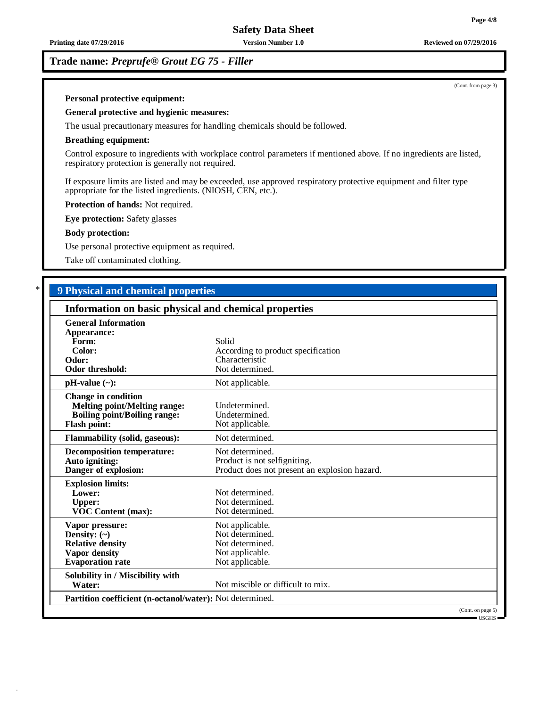**Printing date 07/29/2016 Version Number 1.0 Reviewed on 07/29/2016**

# **Trade name:** *Preprufe® Grout EG 75 - Filler*

(Cont. from page 3)

## **Personal protective equipment:**

## **General protective and hygienic measures:**

The usual precautionary measures for handling chemicals should be followed.

### **Breathing equipment:**

Control exposure to ingredients with workplace control parameters if mentioned above. If no ingredients are listed, respiratory protection is generally not required.

If exposure limits are listed and may be exceeded, use approved respiratory protective equipment and filter type appropriate for the listed ingredients. (NIOSH, CEN, etc.).

**Protection of hands:** Not required.

**Eye protection:** Safety glasses

**Body protection:**

Use personal protective equipment as required.

Take off contaminated clothing.

# \* **9 Physical and chemical properties**

| Information on basic physical and chemical properties                                                                           |                                                                                                  |  |
|---------------------------------------------------------------------------------------------------------------------------------|--------------------------------------------------------------------------------------------------|--|
| <b>General Information</b><br>Appearance:<br>Form:<br>Color:<br>Odor:<br><b>Odor threshold:</b>                                 | Solid<br>According to product specification<br>Characteristic<br>Not determined.                 |  |
| $pH-value (\sim):$                                                                                                              | Not applicable.                                                                                  |  |
| <b>Change in condition</b><br><b>Melting point/Melting range:</b><br><b>Boiling point/Boiling range:</b><br><b>Flash point:</b> | Undetermined.<br>Undetermined.<br>Not applicable.                                                |  |
| <b>Flammability (solid, gaseous):</b>                                                                                           | Not determined.                                                                                  |  |
| <b>Decomposition temperature:</b><br>Auto igniting:<br>Danger of explosion:                                                     | Not determined.<br>Product is not selfigniting.<br>Product does not present an explosion hazard. |  |
| <b>Explosion limits:</b><br>Lower:<br><b>Upper:</b><br><b>VOC Content (max):</b>                                                | Not determined.<br>Not determined.<br>Not determined.                                            |  |
| Vapor pressure:<br>Density: $(\sim)$<br><b>Relative density</b><br><b>Vapor density</b><br><b>Evaporation rate</b>              | Not applicable.<br>Not determined.<br>Not determined.<br>Not applicable.<br>Not applicable.      |  |
| Solubility in / Miscibility with<br>Water:                                                                                      | Not miscible or difficult to mix.                                                                |  |
| Partition coefficient (n-octanol/water): Not determined.                                                                        |                                                                                                  |  |
|                                                                                                                                 | (Cont. on page 5)                                                                                |  |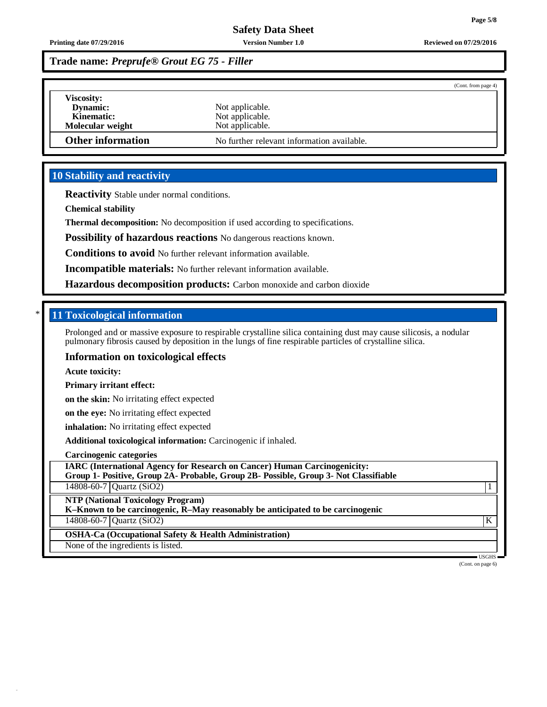# **Trade name:** *Preprufe® Grout EG 75 - Filler*

|                          |                                            | (Cont. from page 4) |
|--------------------------|--------------------------------------------|---------------------|
| <b>Viscosity:</b>        |                                            |                     |
| <b>Dynamic:</b>          | Not applicable.                            |                     |
| Kinematic:               | Not applicable.                            |                     |
| Molecular weight         | Not applicable.                            |                     |
| <b>Other information</b> | No further relevant information available. |                     |

# **10 Stability and reactivity**

**Reactivity** Stable under normal conditions.

**Chemical stability**

**Thermal decomposition:** No decomposition if used according to specifications.

**Possibility of hazardous reactions** No dangerous reactions known.

**Conditions to avoid** No further relevant information available.

**Incompatible materials:** No further relevant information available.

**Hazardous decomposition products:** Carbon monoxide and carbon dioxide

## \* **11 Toxicological information**

Prolonged and or massive exposure to respirable crystalline silica containing dust may cause silicosis, a nodular pulmonary fibrosis caused by deposition in the lungs of fine respirable particles of crystalline silica.

## **Information on toxicological effects**

**Acute toxicity:**

**Primary irritant effect:**

**on the skin:** No irritating effect expected

**on the eye:** No irritating effect expected

**inhalation:** No irritating effect expected

**Additional toxicological information:** Carcinogenic if inhaled.

### **Carcinogenic categories**

**IARC (International Agency for Research on Cancer) Human Carcinogenicity: Group 1- Positive, Group 2A- Probable, Group 2B- Possible, Group 3- Not Classifiable** 14808-60-7 Quartz (SiO2) 1

**NTP (National Toxicology Program)**

**K–Known to be carcinogenic, R–May reasonably be anticipated to be carcinogenic**

 $14808-60-7$  Quartz (SiO2) K

**OSHA-Ca (Occupational Safety & Health Administration)**

None of the ingredients is listed.

(Cont. on page 6)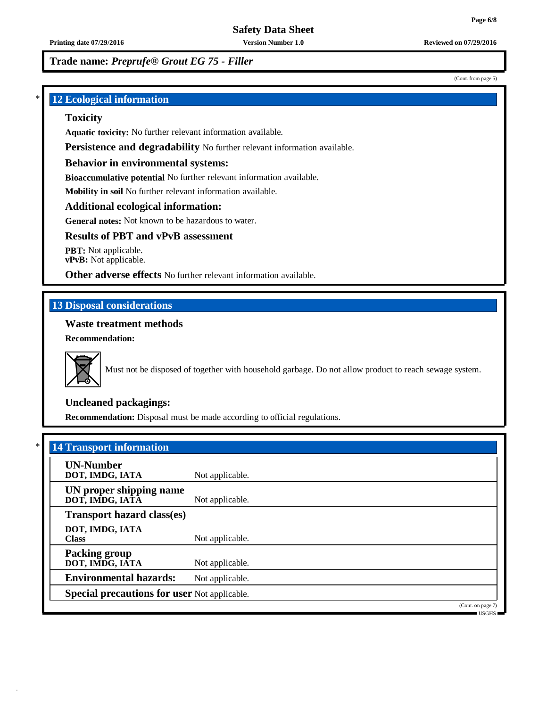(Cont. from page 5)

**Printing date 07/29/2016 Version Number 1.0 Reviewed on 07/29/2016**

**Trade name:** *Preprufe® Grout EG 75 - Filler*

\* **12 Ecological information**

# **Toxicity**

**Aquatic toxicity:** No further relevant information available.

**Persistence and degradability** No further relevant information available.

## **Behavior in environmental systems:**

**Bioaccumulative potential** No further relevant information available.

**Mobility in soil** No further relevant information available.

## **Additional ecological information:**

**General notes:** Not known to be hazardous to water.

# **Results of PBT and vPvB assessment**

**PBT:** Not applicable. **vPvB:** Not applicable.

**Other adverse effects** No further relevant information available.

# **13 Disposal considerations**

# **Waste treatment methods**

**Recommendation:**



Must not be disposed of together with household garbage. Do not allow product to reach sewage system.

# **Uncleaned packagings:**

**Recommendation:** Disposal must be made according to official regulations.

| <b>UN-Number</b><br>DOT, IMDG, IATA        | Not applicable.                                     |  |
|--------------------------------------------|-----------------------------------------------------|--|
| UN proper shipping name<br>DOT, IMDG, IATA | Not applicable.                                     |  |
| <b>Transport hazard class(es)</b>          |                                                     |  |
| DOT, IMDG, IATA<br><b>Class</b>            | Not applicable.                                     |  |
| <b>Packing group</b><br>DOT, IMDG, IATA    | Not applicable.                                     |  |
| <b>Environmental hazards:</b>              | Not applicable.                                     |  |
|                                            | <b>Special precautions for user Not applicable.</b> |  |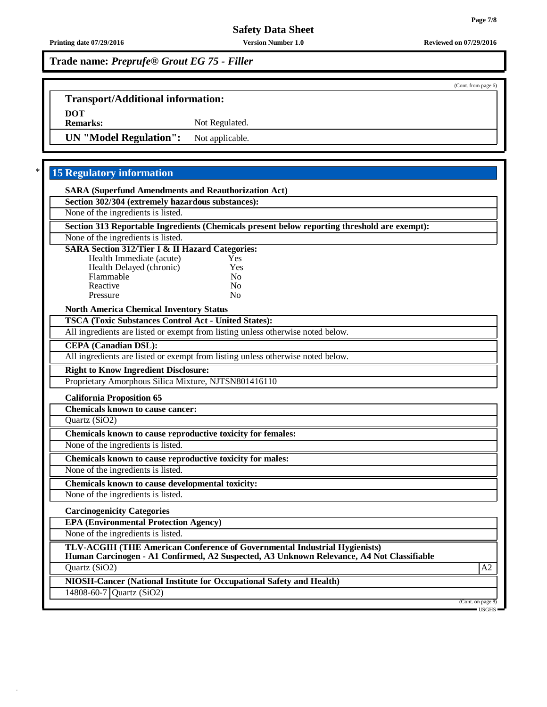(Cont. from page 6)

# **Safety Data Sheet**

**Trade name:** *Preprufe® Grout EG 75 - Filler*

# **Transport/Additional information: DOT** Not Regulated.

**UN "Model Regulation":** Not applicable.

# \* **15 Regulatory information**

| <b>SARA (Superfund Amendments and Reauthorization Act)</b>                                                                                                            |                                                          |
|-----------------------------------------------------------------------------------------------------------------------------------------------------------------------|----------------------------------------------------------|
| Section 302/304 (extremely hazardous substances):                                                                                                                     |                                                          |
| None of the ingredients is listed.                                                                                                                                    |                                                          |
| Section 313 Reportable Ingredients (Chemicals present below reporting threshold are exempt):                                                                          |                                                          |
| None of the ingredients is listed.                                                                                                                                    |                                                          |
| <b>SARA Section 312/Tier I &amp; II Hazard Categories:</b>                                                                                                            |                                                          |
| Health Immediate (acute)<br>Yes<br>Health Delayed (chronic)<br><b>Yes</b>                                                                                             |                                                          |
| Flammable<br>N <sub>0</sub>                                                                                                                                           |                                                          |
| Reactive<br>N <sub>0</sub>                                                                                                                                            |                                                          |
| Pressure<br>$\overline{N}$                                                                                                                                            |                                                          |
| <b>North America Chemical Inventory Status</b>                                                                                                                        |                                                          |
| <b>TSCA (Toxic Substances Control Act - United States):</b>                                                                                                           |                                                          |
| All ingredients are listed or exempt from listing unless otherwise noted below.                                                                                       |                                                          |
| <b>CEPA</b> (Canadian DSL):                                                                                                                                           |                                                          |
| All ingredients are listed or exempt from listing unless otherwise noted below.                                                                                       |                                                          |
| <b>Right to Know Ingredient Disclosure:</b>                                                                                                                           |                                                          |
| Proprietary Amorphous Silica Mixture, NJTSN801416110                                                                                                                  |                                                          |
| <b>California Proposition 65</b>                                                                                                                                      |                                                          |
| <b>Chemicals known to cause cancer:</b>                                                                                                                               |                                                          |
| Quartz (SiO2)                                                                                                                                                         |                                                          |
| Chemicals known to cause reproductive toxicity for females:                                                                                                           |                                                          |
| None of the ingredients is listed.                                                                                                                                    |                                                          |
| Chemicals known to cause reproductive toxicity for males:                                                                                                             |                                                          |
| None of the ingredients is listed.                                                                                                                                    |                                                          |
| Chemicals known to cause developmental toxicity:                                                                                                                      |                                                          |
| None of the ingredients is listed.                                                                                                                                    |                                                          |
| <b>Carcinogenicity Categories</b>                                                                                                                                     |                                                          |
| <b>EPA (Environmental Protection Agency)</b>                                                                                                                          |                                                          |
| None of the ingredients is listed.                                                                                                                                    |                                                          |
| TLV-ACGIH (THE American Conference of Governmental Industrial Hygienists)<br>Human Carcinogen - A1 Confirmed, A2 Suspected, A3 Unknown Relevance, A4 Not Classifiable |                                                          |
| Quartz (SiO2)                                                                                                                                                         | A2                                                       |
| NIOSH-Cancer (National Institute for Occupational Safety and Health)                                                                                                  |                                                          |
| 14808-60-7 Quartz (SiO2)                                                                                                                                              |                                                          |
|                                                                                                                                                                       | (Cont. on page 8)<br>$\blacksquare$ USGHS $\blacksquare$ |